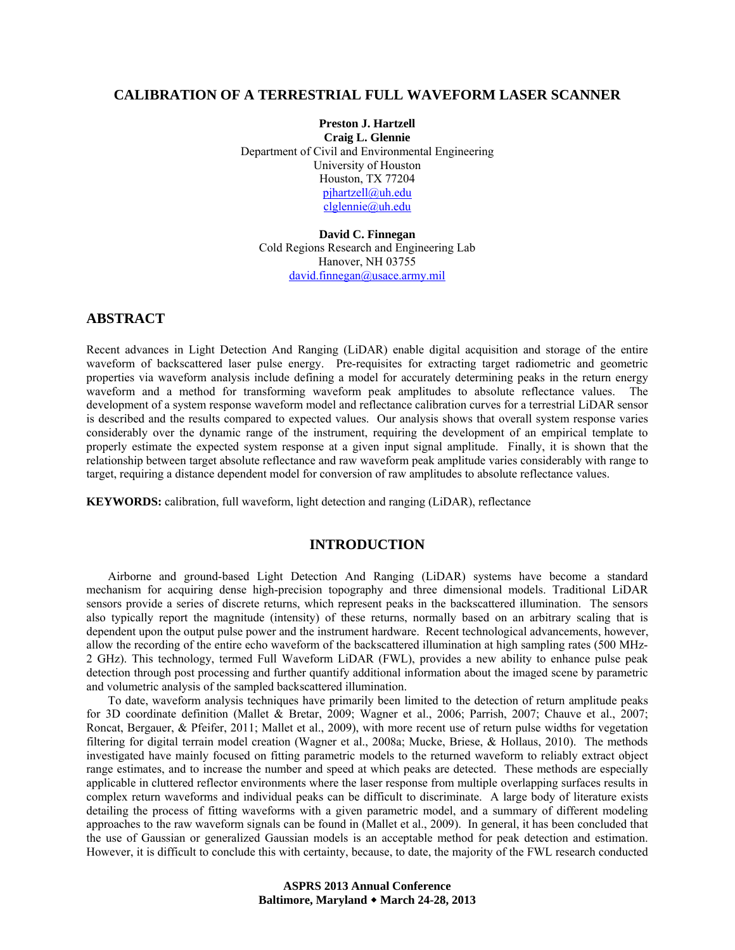# **CALIBRATION OF A TERRESTRIAL FULL WAVEFORM LASER SCANNER**

**Preston J. Hartzell Craig L. Glennie** Department of Civil and Environmental Engineering University of Houston Houston, TX 77204 pjhartzell@uh.edu clglennie@uh.edu

**David C. Finnegan** Cold Regions Research and Engineering Lab Hanover, NH 03755 david.finnegan@usace.army.mil

# **ABSTRACT**

Recent advances in Light Detection And Ranging (LiDAR) enable digital acquisition and storage of the entire waveform of backscattered laser pulse energy. Pre-requisites for extracting target radiometric and geometric properties via waveform analysis include defining a model for accurately determining peaks in the return energy waveform and a method for transforming waveform peak amplitudes to absolute reflectance values. The development of a system response waveform model and reflectance calibration curves for a terrestrial LiDAR sensor is described and the results compared to expected values. Our analysis shows that overall system response varies considerably over the dynamic range of the instrument, requiring the development of an empirical template to properly estimate the expected system response at a given input signal amplitude. Finally, it is shown that the relationship between target absolute reflectance and raw waveform peak amplitude varies considerably with range to target, requiring a distance dependent model for conversion of raw amplitudes to absolute reflectance values.

**KEYWORDS:** calibration, full waveform, light detection and ranging (LiDAR), reflectance

## **INTRODUCTION**

Airborne and ground-based Light Detection And Ranging (LiDAR) systems have become a standard mechanism for acquiring dense high-precision topography and three dimensional models. Traditional LiDAR sensors provide a series of discrete returns, which represent peaks in the backscattered illumination. The sensors also typically report the magnitude (intensity) of these returns, normally based on an arbitrary scaling that is dependent upon the output pulse power and the instrument hardware. Recent technological advancements, however, allow the recording of the entire echo waveform of the backscattered illumination at high sampling rates (500 MHz-2 GHz). This technology, termed Full Waveform LiDAR (FWL), provides a new ability to enhance pulse peak detection through post processing and further quantify additional information about the imaged scene by parametric and volumetric analysis of the sampled backscattered illumination.

To date, waveform analysis techniques have primarily been limited to the detection of return amplitude peaks for 3D coordinate definition (Mallet & Bretar, 2009; Wagner et al., 2006; Parrish, 2007; Chauve et al., 2007; Roncat, Bergauer, & Pfeifer, 2011; Mallet et al., 2009), with more recent use of return pulse widths for vegetation filtering for digital terrain model creation (Wagner et al., 2008a; Mucke, Briese, & Hollaus, 2010). The methods investigated have mainly focused on fitting parametric models to the returned waveform to reliably extract object range estimates, and to increase the number and speed at which peaks are detected. These methods are especially applicable in cluttered reflector environments where the laser response from multiple overlapping surfaces results in complex return waveforms and individual peaks can be difficult to discriminate. A large body of literature exists detailing the process of fitting waveforms with a given parametric model, and a summary of different modeling approaches to the raw waveform signals can be found in (Mallet et al., 2009). In general, it has been concluded that the use of Gaussian or generalized Gaussian models is an acceptable method for peak detection and estimation. However, it is difficult to conclude this with certainty, because, to date, the majority of the FWL research conducted

> **ASPRS 2013 Annual Conference Baltimore, Maryland March 24-28, 2013**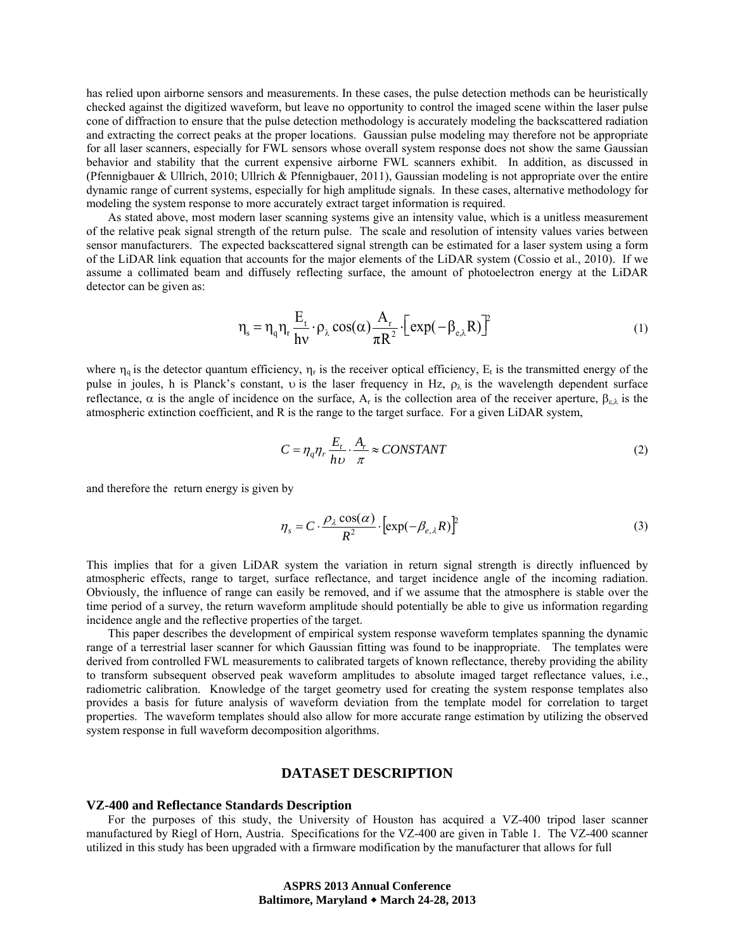has relied upon airborne sensors and measurements. In these cases, the pulse detection methods can be heuristically checked against the digitized waveform, but leave no opportunity to control the imaged scene within the laser pulse cone of diffraction to ensure that the pulse detection methodology is accurately modeling the backscattered radiation and extracting the correct peaks at the proper locations. Gaussian pulse modeling may therefore not be appropriate for all laser scanners, especially for FWL sensors whose overall system response does not show the same Gaussian behavior and stability that the current expensive airborne FWL scanners exhibit. In addition, as discussed in (Pfennigbauer & Ullrich, 2010; Ullrich & Pfennigbauer, 2011), Gaussian modeling is not appropriate over the entire dynamic range of current systems, especially for high amplitude signals. In these cases, alternative methodology for modeling the system response to more accurately extract target information is required.

 As stated above, most modern laser scanning systems give an intensity value, which is a unitless measurement of the relative peak signal strength of the return pulse. The scale and resolution of intensity values varies between sensor manufacturers. The expected backscattered signal strength can be estimated for a laser system using a form of the LiDAR link equation that accounts for the major elements of the LiDAR system (Cossio et al., 2010). If we assume a collimated beam and diffusely reflecting surface, the amount of photoelectron energy at the LiDAR detector can be given as:

$$
\eta_s = \eta_q \eta_r \frac{E_t}{hv} \cdot \rho_\lambda \cos(\alpha) \frac{A_r}{\pi R^2} \cdot \left[ exp(-\beta_{e,\lambda} R) \right]^2 \tag{1}
$$

where  $\eta_q$  is the detector quantum efficiency,  $\eta_r$  is the receiver optical efficiency,  $E_t$  is the transmitted energy of the pulse in joules, h is Planck's constant, v is the laser frequency in Hz,  $\rho_{\lambda}$  is the wavelength dependent surface reflectance,  $\alpha$  is the angle of incidence on the surface,  $A_r$  is the collection area of the receiver aperture,  $β_{\epsilon \lambda}$  is the atmospheric extinction coefficient, and R is the range to the target surface. For a given LiDAR system,

$$
C = \eta_q \eta_r \frac{E_t}{h\nu} \cdot \frac{A_r}{\pi} \approx \text{CONSTANT} \tag{2}
$$

and therefore the return energy is given by

$$
\eta_s = C \cdot \frac{\rho_\lambda \cos(\alpha)}{R^2} \cdot \left[ \exp(-\beta_{e,\lambda} R) \right]^2 \tag{3}
$$

This implies that for a given LiDAR system the variation in return signal strength is directly influenced by atmospheric effects, range to target, surface reflectance, and target incidence angle of the incoming radiation. Obviously, the influence of range can easily be removed, and if we assume that the atmosphere is stable over the time period of a survey, the return waveform amplitude should potentially be able to give us information regarding incidence angle and the reflective properties of the target.

 This paper describes the development of empirical system response waveform templates spanning the dynamic range of a terrestrial laser scanner for which Gaussian fitting was found to be inappropriate. The templates were derived from controlled FWL measurements to calibrated targets of known reflectance, thereby providing the ability to transform subsequent observed peak waveform amplitudes to absolute imaged target reflectance values, i.e., radiometric calibration. Knowledge of the target geometry used for creating the system response templates also provides a basis for future analysis of waveform deviation from the template model for correlation to target properties. The waveform templates should also allow for more accurate range estimation by utilizing the observed system response in full waveform decomposition algorithms.

## **DATASET DESCRIPTION**

#### **VZ-400 and Reflectance Standards Description**

For the purposes of this study, the University of Houston has acquired a VZ-400 tripod laser scanner manufactured by Riegl of Horn, Austria. Specifications for the VZ-400 are given in Table 1. The VZ-400 scanner utilized in this study has been upgraded with a firmware modification by the manufacturer that allows for full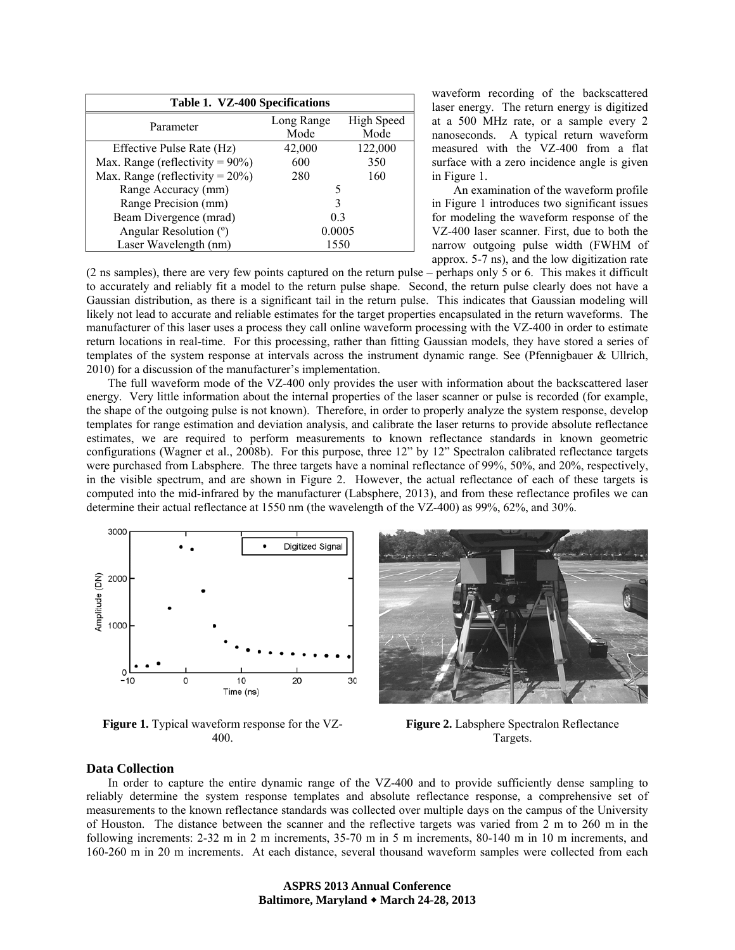| Table 1. VZ-400 Specifications      |                |            |
|-------------------------------------|----------------|------------|
| Parameter                           | Long Range     | High Speed |
|                                     | Mode           | Mode       |
| Effective Pulse Rate (Hz)           | 42,000         | 122,000    |
| Max. Range (reflectivity = $90\%$ ) | 600            | 350        |
| Max. Range (reflectivity = $20\%$ ) | 280            | 160        |
| Range Accuracy (mm)                 | 5              |            |
| Range Precision (mm)                | 3              |            |
| Beam Divergence (mrad)              | 0 <sup>3</sup> |            |
| Angular Resolution (°)              | 0.0005         |            |
| Laser Wavelength (nm)               | 1550           |            |

waveform recording of the backscattered laser energy. The return energy is digitized at a 500 MHz rate, or a sample every 2 nanoseconds. A typical return waveform measured with the VZ-400 from a flat surface with a zero incidence angle is given in Figure 1.

An examination of the waveform profile in Figure 1 introduces two significant issues for modeling the waveform response of the VZ-400 laser scanner. First, due to both the narrow outgoing pulse width (FWHM of approx. 5-7 ns), and the low digitization rate

(2 ns samples), there are very few points captured on the return pulse – perhaps only 5 or 6. This makes it difficult to accurately and reliably fit a model to the return pulse shape. Second, the return pulse clearly does not have a Gaussian distribution, as there is a significant tail in the return pulse. This indicates that Gaussian modeling will likely not lead to accurate and reliable estimates for the target properties encapsulated in the return waveforms. The manufacturer of this laser uses a process they call online waveform processing with the VZ-400 in order to estimate return locations in real-time. For this processing, rather than fitting Gaussian models, they have stored a series of templates of the system response at intervals across the instrument dynamic range. See (Pfennigbauer & Ullrich, 2010) for a discussion of the manufacturer's implementation.

The full waveform mode of the VZ-400 only provides the user with information about the backscattered laser energy. Very little information about the internal properties of the laser scanner or pulse is recorded (for example, the shape of the outgoing pulse is not known). Therefore, in order to properly analyze the system response, develop templates for range estimation and deviation analysis, and calibrate the laser returns to provide absolute reflectance estimates, we are required to perform measurements to known reflectance standards in known geometric configurations (Wagner et al., 2008b). For this purpose, three 12" by 12" Spectralon calibrated reflectance targets were purchased from Labsphere. The three targets have a nominal reflectance of 99%, 50%, and 20%, respectively, in the visible spectrum, and are shown in Figure 2. However, the actual reflectance of each of these targets is computed into the mid-infrared by the manufacturer (Labsphere, 2013), and from these reflectance profiles we can determine their actual reflectance at 1550 nm (the wavelength of the VZ-400) as 99%, 62%, and 30%.



**Figure 1.** Typical waveform response for the VZ-400.



**Figure 2.** Labsphere Spectralon Reflectance Targets.

#### **Data Collection**

In order to capture the entire dynamic range of the VZ-400 and to provide sufficiently dense sampling to reliably determine the system response templates and absolute reflectance response, a comprehensive set of measurements to the known reflectance standards was collected over multiple days on the campus of the University of Houston. The distance between the scanner and the reflective targets was varied from 2 m to 260 m in the following increments: 2-32 m in 2 m increments, 35-70 m in 5 m increments, 80-140 m in 10 m increments, and 160-260 m in 20 m increments. At each distance, several thousand waveform samples were collected from each

> **ASPRS 2013 Annual Conference Baltimore, Maryland March 24-28, 2013**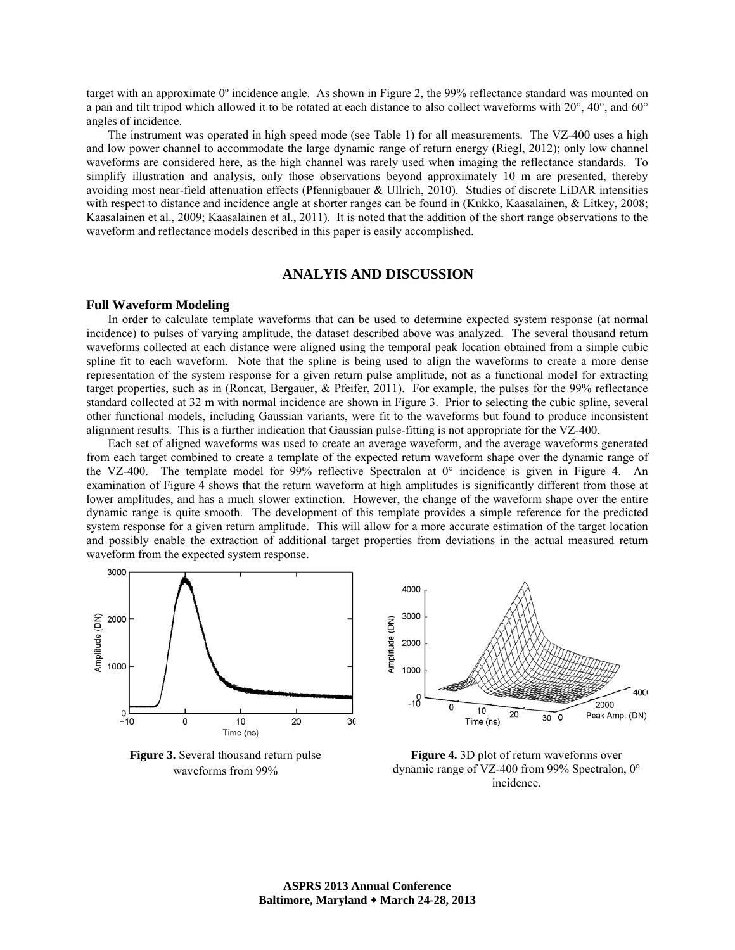target with an approximate 0º incidence angle. As shown in Figure 2, the 99% reflectance standard was mounted on a pan and tilt tripod which allowed it to be rotated at each distance to also collect waveforms with 20°, 40°, and 60° angles of incidence.

The instrument was operated in high speed mode (see Table 1) for all measurements. The VZ-400 uses a high and low power channel to accommodate the large dynamic range of return energy (Riegl, 2012); only low channel waveforms are considered here, as the high channel was rarely used when imaging the reflectance standards. To simplify illustration and analysis, only those observations beyond approximately 10 m are presented, thereby avoiding most near-field attenuation effects (Pfennigbauer & Ullrich, 2010). Studies of discrete LiDAR intensities with respect to distance and incidence angle at shorter ranges can be found in (Kukko, Kaasalainen, & Litkey, 2008; Kaasalainen et al., 2009; Kaasalainen et al., 2011). It is noted that the addition of the short range observations to the waveform and reflectance models described in this paper is easily accomplished.

## **ANALYIS AND DISCUSSION**

#### **Full Waveform Modeling**

In order to calculate template waveforms that can be used to determine expected system response (at normal incidence) to pulses of varying amplitude, the dataset described above was analyzed. The several thousand return waveforms collected at each distance were aligned using the temporal peak location obtained from a simple cubic spline fit to each waveform. Note that the spline is being used to align the waveforms to create a more dense representation of the system response for a given return pulse amplitude, not as a functional model for extracting target properties, such as in (Roncat, Bergauer, & Pfeifer, 2011). For example, the pulses for the 99% reflectance standard collected at 32 m with normal incidence are shown in Figure 3. Prior to selecting the cubic spline, several other functional models, including Gaussian variants, were fit to the waveforms but found to produce inconsistent alignment results. This is a further indication that Gaussian pulse-fitting is not appropriate for the VZ-400.

Each set of aligned waveforms was used to create an average waveform, and the average waveforms generated from each target combined to create a template of the expected return waveform shape over the dynamic range of the VZ-400. The template model for 99% reflective Spectralon at  $0^{\circ}$  incidence is given in Figure 4. An examination of Figure 4 shows that the return waveform at high amplitudes is significantly different from those at lower amplitudes, and has a much slower extinction. However, the change of the waveform shape over the entire dynamic range is quite smooth. The development of this template provides a simple reference for the predicted system response for a given return amplitude. This will allow for a more accurate estimation of the target location and possibly enable the extraction of additional target properties from deviations in the actual measured return waveform from the expected system response.



**Figure 3.** Several thousand return pulse waveforms from 99%

**Figure 4.** 3D plot of return waveforms over dynamic range of VZ-400 from 99% Spectralon, 0° incidence.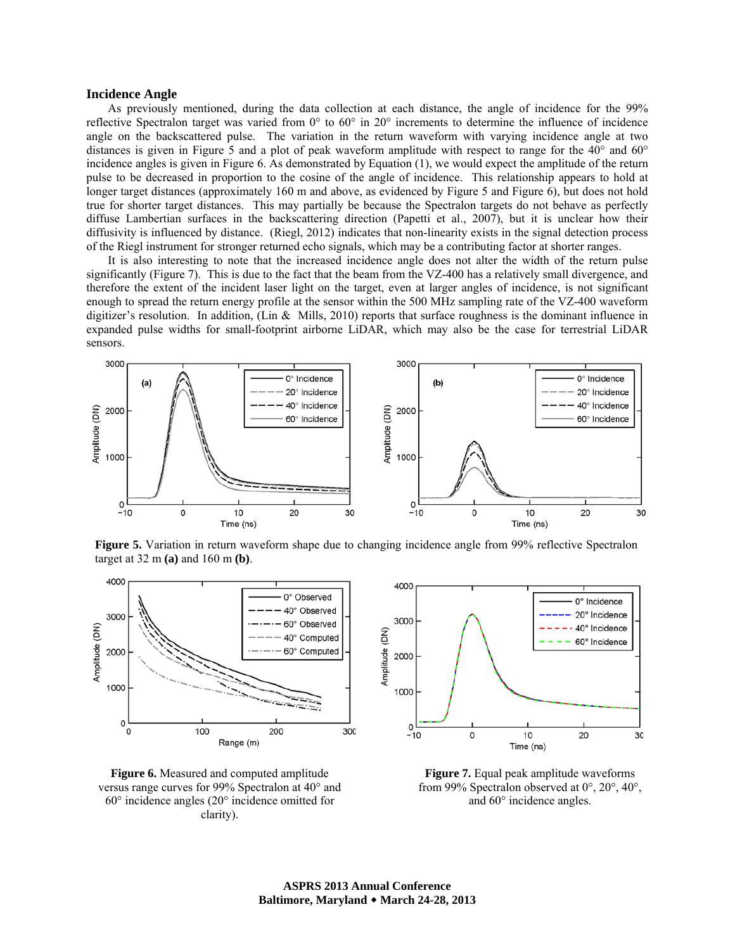#### **Incidence Angle**

As previously mentioned, during the data collection at each distance, the angle of incidence for the 99% reflective Spectralon target was varied from 0° to 60° in 20° increments to determine the influence of incidence angle on the backscattered pulse. The variation in the return waveform with varying incidence angle at two distances is given in Figure 5 and a plot of peak waveform amplitude with respect to range for the 40° and 60° incidence angles is given in Figure 6. As demonstrated by Equation (1), we would expect the amplitude of the return pulse to be decreased in proportion to the cosine of the angle of incidence. This relationship appears to hold at longer target distances (approximately 160 m and above, as evidenced by Figure 5 and Figure 6), but does not hold true for shorter target distances. This may partially be because the Spectralon targets do not behave as perfectly diffuse Lambertian surfaces in the backscattering direction (Papetti et al., 2007), but it is unclear how their diffusivity is influenced by distance. (Riegl, 2012) indicates that non-linearity exists in the signal detection process of the Riegl instrument for stronger returned echo signals, which may be a contributing factor at shorter ranges.

It is also interesting to note that the increased incidence angle does not alter the width of the return pulse significantly (Figure 7). This is due to the fact that the beam from the VZ-400 has a relatively small divergence, and therefore the extent of the incident laser light on the target, even at larger angles of incidence, is not significant enough to spread the return energy profile at the sensor within the 500 MHz sampling rate of the VZ-400 waveform digitizer's resolution. In addition, (Lin & Mills, 2010) reports that surface roughness is the dominant influence in expanded pulse widths for small-footprint airborne LiDAR, which may also be the case for terrestrial LiDAR sensors.



**Figure 5.** Variation in return waveform shape due to changing incidence angle from 99% reflective Spectralon target at 32 m **(a)** and 160 m **(b)**.





**Figure 7.** Equal peak amplitude waveforms from 99% Spectralon observed at 0°, 20°, 40°, and 60° incidence angles.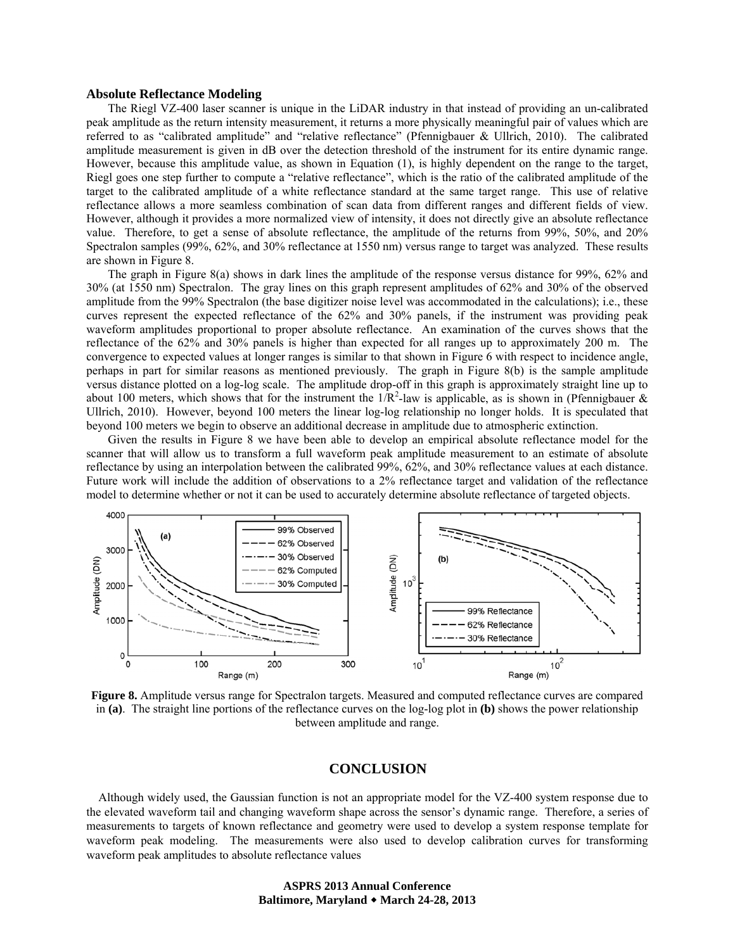#### **Absolute Reflectance Modeling**

The Riegl VZ-400 laser scanner is unique in the LiDAR industry in that instead of providing an un-calibrated peak amplitude as the return intensity measurement, it returns a more physically meaningful pair of values which are referred to as "calibrated amplitude" and "relative reflectance" (Pfennigbauer & Ullrich, 2010). The calibrated amplitude measurement is given in dB over the detection threshold of the instrument for its entire dynamic range. However, because this amplitude value, as shown in Equation (1), is highly dependent on the range to the target, Riegl goes one step further to compute a "relative reflectance", which is the ratio of the calibrated amplitude of the target to the calibrated amplitude of a white reflectance standard at the same target range. This use of relative reflectance allows a more seamless combination of scan data from different ranges and different fields of view. However, although it provides a more normalized view of intensity, it does not directly give an absolute reflectance value. Therefore, to get a sense of absolute reflectance, the amplitude of the returns from 99%, 50%, and 20% Spectralon samples (99%, 62%, and 30% reflectance at 1550 nm) versus range to target was analyzed. These results are shown in Figure 8.

The graph in Figure 8(a) shows in dark lines the amplitude of the response versus distance for 99%, 62% and 30% (at 1550 nm) Spectralon. The gray lines on this graph represent amplitudes of 62% and 30% of the observed amplitude from the 99% Spectralon (the base digitizer noise level was accommodated in the calculations); i.e., these curves represent the expected reflectance of the 62% and 30% panels, if the instrument was providing peak waveform amplitudes proportional to proper absolute reflectance. An examination of the curves shows that the reflectance of the 62% and 30% panels is higher than expected for all ranges up to approximately 200 m. The convergence to expected values at longer ranges is similar to that shown in Figure 6 with respect to incidence angle, perhaps in part for similar reasons as mentioned previously. The graph in Figure 8(b) is the sample amplitude versus distance plotted on a log-log scale. The amplitude drop-off in this graph is approximately straight line up to about 100 meters, which shows that for the instrument the  $1/R^2$ -law is applicable, as is shown in (Pfennigbauer & Ullrich, 2010). However, beyond 100 meters the linear log-log relationship no longer holds. It is speculated that beyond 100 meters we begin to observe an additional decrease in amplitude due to atmospheric extinction.

Given the results in Figure 8 we have been able to develop an empirical absolute reflectance model for the scanner that will allow us to transform a full waveform peak amplitude measurement to an estimate of absolute reflectance by using an interpolation between the calibrated 99%, 62%, and 30% reflectance values at each distance. Future work will include the addition of observations to a 2% reflectance target and validation of the reflectance model to determine whether or not it can be used to accurately determine absolute reflectance of targeted objects.



**Figure 8.** Amplitude versus range for Spectralon targets. Measured and computed reflectance curves are compared in **(a)**. The straight line portions of the reflectance curves on the log-log plot in **(b)** shows the power relationship between amplitude and range.

## **CONCLUSION**

Although widely used, the Gaussian function is not an appropriate model for the VZ-400 system response due to the elevated waveform tail and changing waveform shape across the sensor's dynamic range. Therefore, a series of measurements to targets of known reflectance and geometry were used to develop a system response template for waveform peak modeling. The measurements were also used to develop calibration curves for transforming waveform peak amplitudes to absolute reflectance values

> **ASPRS 2013 Annual Conference Baltimore, Maryland March 24-28, 2013**